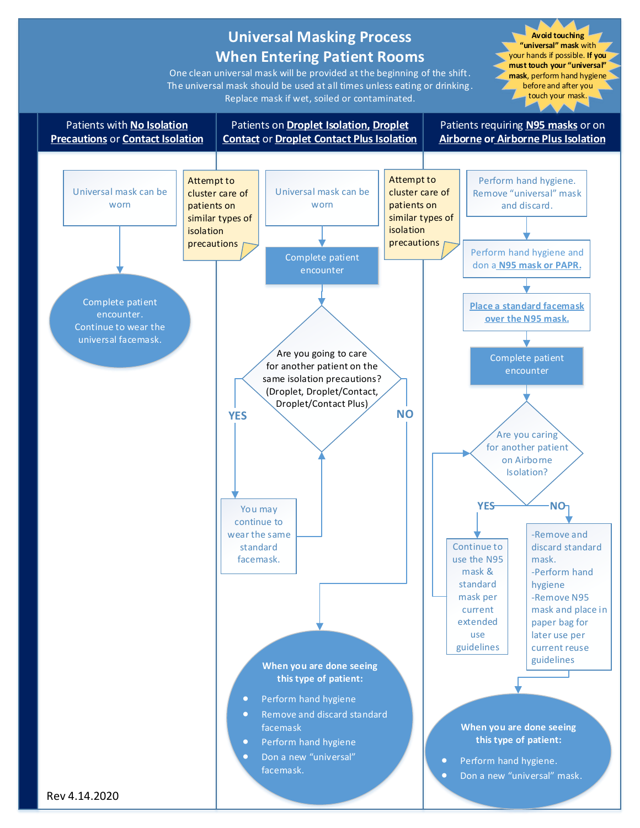#### **Universal Masking Process When Entering Patient Rooms** One clean universal mask will be provided at the beginning of the shift. The universal mask should be used at all times unless eating or drinking . Replace mask if wet, soiled or contaminated. Patients with **No Isolation Precautions** or **Contact Isolation** Patients on **Droplet Isolation, Droplet Contact** or **Droplet Contact Plus Isolation** Patients requiring **N95 masks** or on **Airborne or Airborne Plus Isolation** Universal mask can be worn Perform hand hygiene. Remove "universal" mask and discard. **Avoid touching "universal" mask** with your hands if possible. **If you must touch your "universal" mask**, perform hand hygiene before and after you touch your mask. Complete patient encounter encounter You may **YES** on Airborne Isolation? Universal mask can be worn Attempt to cluster care of patients on similar types of isolation precautions Are you going to care for another patient on the same isolation precautions? (Droplet, Droplet/Contact, Droplet/Contact Plus) **YES NO** Attempt to cluster care of patients on similar types of isolation precautions

Perform hand hygiene and don a **N95 mask or PAPR.** Complete patient Complete patient encounter. Continue to wear the universal facemask. continue to wear the same standard facemask. **When you are done seeing this type of patient:** • Perform hand hygiene Remove and discard standard facemask Perform hand hygiene Don a new "universal" facemask. Continue to use the N95 mask & standard mask per current extended use guidelines **When you are done seeing this type of patient: •** Perform hand hygiene. Don a new "universal" mask. Are you caring for another patient -Remove and discard standard mask. -Perform hand hygiene -Remove N95 mask and place in paper bag for later use per current reuse guidelines **NO** Rev 4.14.2020 **Place a standard facemask over the N95 mask.**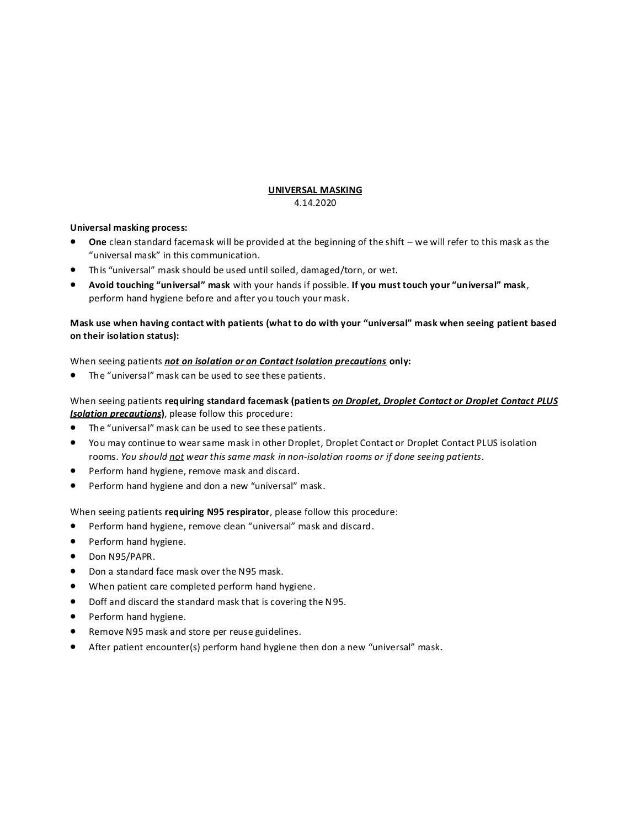### **UNIVERSAL MASKING** 4.14.2020

## **Universal masking process:**

- **One** clean standard facemask will be provided at the beginning of the shift we will refer to this mask as the "universal mask" in this communication.
- This "universal" mask should be used until soiled, damaged/torn, or wet.
- **Avoid touching "universal" mask** with your hands if possible. **If you must touch your "universal" mask**, perform hand hygiene before and after you touch your mask.

## **Mask use when having contact with patients (what to do with your "universal" mask when seeing patient based on their isolation status):**

## When seeing patients *not on isolation or on Contact Isolation precautions* **only:**

The "universal" mask can be used to see these patients.

# When seeing patients **requiring standard facemask (patients** *on Droplet, Droplet Contact or Droplet Contact PLUS Isolation precautions***)**, please follow this procedure:

- The "universal" mask can be used to see these patients.
- You may continue to wear same mask in other Droplet, Droplet Contact or Droplet Contact PLUS isolation rooms. *You should not wear this same mask in non-isolation rooms or if done seeing patients.*
- Perform hand hygiene, remove mask and discard.
- Perform hand hygiene and don a new "universal" mask.

When seeing patients **requiring N95 respirator**, please follow this procedure:

- Perform hand hygiene, remove clean "universal" mask and discard.
- Perform hand hygiene.
- Don N95/PAPR.
- Don a standard face mask over the N95 mask.
- When patient care completed perform hand hygiene.
- Doff and discard the standard mask that is covering the N95.
- Perform hand hygiene.
- Remove N95 mask and store per reuse guidelines.
- After patient encounter(s) perform hand hygiene then don a new "universal" mask.